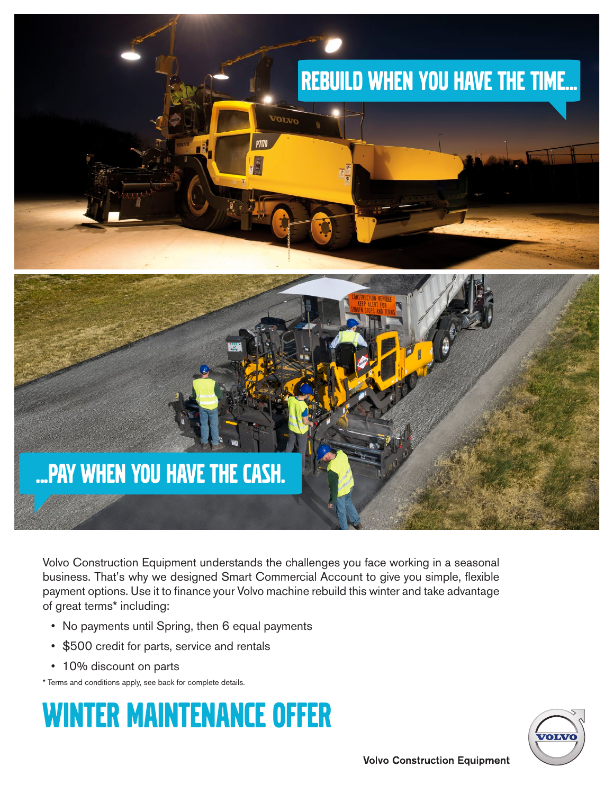

Volvo Construction Equipment understands the challenges you face working in a seasonal business. That's why we designed Smart Commercial Account to give you simple, flexible payment options. Use it to finance your Volvo machine rebuild this winter and take advantage of great terms\* including:

- No payments until Spring, then 6 equal payments
- \$500 credit for parts, service and rentals
- 10% discount on parts

\* Terms and conditions apply, see back for complete details.

## Winter Maintenance offer